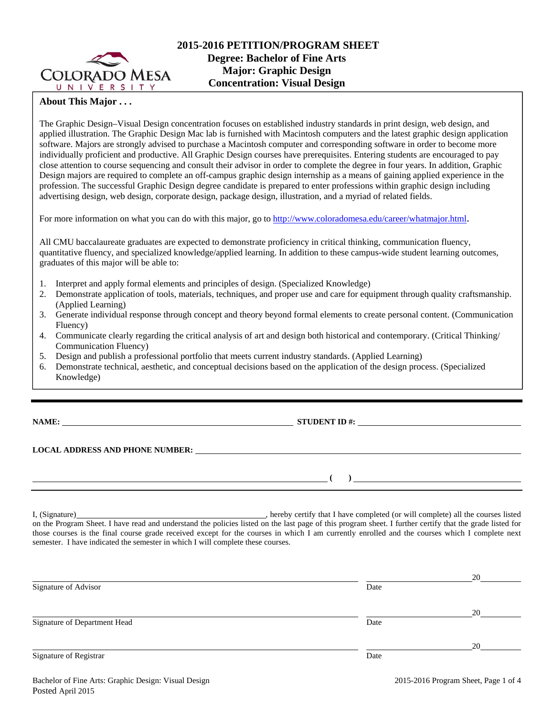

## **About This Major . . .**

The Graphic Design–Visual Design concentration focuses on established industry standards in print design, web design, and applied illustration. The Graphic Design Mac lab is furnished with Macintosh computers and the latest graphic design application software. Majors are strongly advised to purchase a Macintosh computer and corresponding software in order to become more individually proficient and productive. All Graphic Design courses have prerequisites. Entering students are encouraged to pay close attention to course sequencing and consult their advisor in order to complete the degree in four years. In addition, Graphic Design majors are required to complete an off-campus graphic design internship as a means of gaining applied experience in the profession. The successful Graphic Design degree candidate is prepared to enter professions within graphic design including advertising design, web design, corporate design, package design, illustration, and a myriad of related fields.

For more information on what you can do with this major, go to http://www.coloradomesa.edu/career/whatmajor.html.

All CMU baccalaureate graduates are expected to demonstrate proficiency in critical thinking, communication fluency, quantitative fluency, and specialized knowledge/applied learning. In addition to these campus-wide student learning outcomes, graduates of this major will be able to:

- 1. Interpret and apply formal elements and principles of design. (Specialized Knowledge)
- 2. Demonstrate application of tools, materials, techniques, and proper use and care for equipment through quality craftsmanship. (Applied Learning)
- 3. Generate individual response through concept and theory beyond formal elements to create personal content. (Communication Fluency)
- 4. Communicate clearly regarding the critical analysis of art and design both historical and contemporary. (Critical Thinking/ Communication Fluency)
- 5. Design and publish a professional portfolio that meets current industry standards. (Applied Learning)
- 6. Demonstrate technical, aesthetic, and conceptual decisions based on the application of the design process. (Specialized Knowledge)

**NAME: STUDENT ID #: STUDENT ID #: STUDENT ID #: STUDENT ID #: STUDENT ID #: STUDENT ID #: STUDENT ID #: STUDENT ID #: STUDENT ID #: STUDENT ID #: STUDENT ID #: STUDENT ID #: STUDENT ID #: STUDE** 

**LOCAL ADDRESS AND PHONE NUMBER:**

 $($   $)$   $)$ 

I, (Signature) hereby certify that I have completed (or will complete) all the courses listed on the Program Sheet. I have read and understand the policies listed on the last page of this program sheet. I further certify that the grade listed for those courses is the final course grade received except for the courses in which I am currently enrolled and the courses which I complete next semester. I have indicated the semester in which I will complete these courses.

|                              |      | 20 |
|------------------------------|------|----|
| Signature of Advisor         | Date |    |
|                              |      | 20 |
| Signature of Department Head | Date |    |
|                              |      | 20 |
| Signature of Registrar       | Date |    |
|                              |      |    |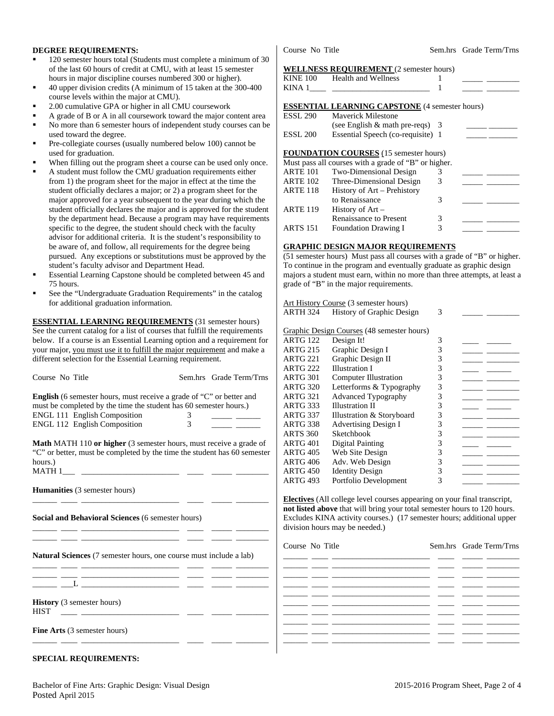#### **DEGREE REQUIREMENTS:**

- 120 semester hours total (Students must complete a minimum of 30 of the last 60 hours of credit at CMU, with at least 15 semester hours in major discipline courses numbered 300 or higher).
- 40 upper division credits (A minimum of 15 taken at the 300-400 course levels within the major at CMU).
- 2.00 cumulative GPA or higher in all CMU coursework
- A grade of B or A in all coursework toward the major content area No more than 6 semester hours of independent study courses can be
- used toward the degree.
- Pre-collegiate courses (usually numbered below 100) cannot be used for graduation.
- When filling out the program sheet a course can be used only once.
- A student must follow the CMU graduation requirements either from 1) the program sheet for the major in effect at the time the student officially declares a major; or 2) a program sheet for the major approved for a year subsequent to the year during which the student officially declares the major and is approved for the student by the department head. Because a program may have requirements specific to the degree, the student should check with the faculty advisor for additional criteria. It is the student's responsibility to be aware of, and follow, all requirements for the degree being pursued. Any exceptions or substitutions must be approved by the student's faculty advisor and Department Head.
- Essential Learning Capstone should be completed between 45 and 75 hours.
- See the "Undergraduate Graduation Requirements" in the catalog for additional graduation information.

**ESSENTIAL LEARNING REQUIREMENTS** (31 semester hours) See the current catalog for a list of courses that fulfill the requirements below. If a course is an Essential Learning option and a requirement for your major, you must use it to fulfill the major requirement and make a different selection for the Essential Learning requirement.

| Course No Title                                                                                                                                                                                                                               |  | Sem.hrs Grade Term/Trns |  |  |  |  |
|-----------------------------------------------------------------------------------------------------------------------------------------------------------------------------------------------------------------------------------------------|--|-------------------------|--|--|--|--|
| <b>English</b> (6 semester hours, must receive a grade of "C" or better and<br>must be completed by the time the student has 60 semester hours.)<br>ENGL 111 English Composition<br>3<br>$\mathcal{E}$<br><b>ENGL 112 English Composition</b> |  |                         |  |  |  |  |
| <b>Math MATH 110 or higher</b> (3 semester hours, must receive a grade of<br>"C" or better, must be completed by the time the student has 60 semester<br>hours.                                                                               |  |                         |  |  |  |  |
| <b>Humanities</b> (3 semester hours)<br><u> 1980 - Jan Samuel Barbara, político establecido en la contrada de la contrada de la contrada de la contrada d</u>                                                                                 |  |                         |  |  |  |  |
| Social and Behavioral Sciences (6 semester hours)                                                                                                                                                                                             |  |                         |  |  |  |  |
| <b>Natural Sciences</b> (7 semester hours, one course must include a lab)                                                                                                                                                                     |  |                         |  |  |  |  |
| <u> 1988 - Andrea Stadt Britain, amerikansk politik (</u>                                                                                                                                                                                     |  |                         |  |  |  |  |
| <b>History</b> (3 semester hours)<br><b>HIST</b>                                                                                                                                                                                              |  |                         |  |  |  |  |
| <b>Fine Arts</b> (3 semester hours)                                                                                                                                                                                                           |  |                         |  |  |  |  |

## **SPECIAL REQUIREMENTS:**

Course No Title Sem.hrs Grade Term/Trns

# **WELLNESS REQUIREMENT (2)**

|                 | WELLINESS REQUIREMENT (2 semester nours)              |   |  |
|-----------------|-------------------------------------------------------|---|--|
| <b>KINE 100</b> | <b>Health and Wellness</b>                            |   |  |
| KINA 1          |                                                       |   |  |
|                 | <b>ESSENTIAL LEARNING CAPSTONE</b> (4 semester hours) |   |  |
| <b>ESSL 290</b> | <b>Maverick Milestone</b>                             |   |  |
|                 | (see English $\&$ math pre-reqs) 3                    |   |  |
| <b>ESSL 200</b> | Essential Speech (co-requisite) 1                     |   |  |
|                 | <b>FOUNDATION COURSES</b> (15 semester hours)         |   |  |
|                 | Must pass all courses with a grade of "B" or higher.  |   |  |
| <b>ARTE 101</b> | Two-Dimensional Design                                | 3 |  |
| <b>ARTE 102</b> | Three-Dimensional Design                              | 3 |  |
| <b>ARTE 118</b> | History of Art - Prehistory                           |   |  |
|                 | to Renaissance                                        | 3 |  |
| <b>ARTE 119</b> | History of $Art -$                                    |   |  |
|                 | <b>Renaissance to Present</b>                         | 3 |  |
| <b>ARTS 151</b> | <b>Foundation Drawing I</b>                           | 3 |  |

#### **GRAPHIC DESIGN MAJOR REQUIREMENTS**

Foundation Drawing I 3

(51 semester hours) Must pass all courses with a grade of "B" or higher. To continue in the program and eventually graduate as graphic design majors a student must earn, within no more than three attempts, at least a grade of "B" in the major requirements.

## Art History Course (3 semester hours)

| ARTH 324        | <b>History of Graphic Design</b>           | 3 |  |
|-----------------|--------------------------------------------|---|--|
|                 | Graphic Design Courses (48 semester hours) |   |  |
| ARTG 122        | Design It!                                 | 3 |  |
| ARTG 215        | Graphic Design I                           | 3 |  |
| <b>ARTG 221</b> | Graphic Design II                          | 3 |  |
| ARTG 222        | <b>Illustration I</b>                      | 3 |  |
| ARTG 301        | <b>Computer Illustration</b>               | 3 |  |
| ARTG 320        | Letterforms & Typography                   | 3 |  |
| ARTG 321        | <b>Advanced Typography</b>                 | 3 |  |
| ARTG 333        | <b>Illustration II</b>                     | 3 |  |
| ARTG 337        | Illustration & Storyboard                  | 3 |  |
| ARTG 338        | <b>Advertising Design I</b>                | 3 |  |
| ARTS 360        | Sketchbook                                 | 3 |  |
| ARTG 401        | Digital Painting                           | 3 |  |
| ARTG 405        | Web Site Design                            | 3 |  |
| ARTG 406        | Adv. Web Design                            | 3 |  |
| ARTG 450        | <b>Identity Design</b>                     | 3 |  |
| ARTG 493        | Portfolio Development                      | 3 |  |
|                 |                                            |   |  |

**Electives** (All college level courses appearing on your final transcript, **not listed above** that will bring your total semester hours to 120 hours. Excludes KINA activity courses.) (17 semester hours; additional upper division hours may be needed.)

Course No Title Sem.hrs Grade Term/Trns \_\_\_\_\_\_ \_\_\_\_ \_\_\_\_\_\_\_\_\_\_\_\_\_\_\_\_\_\_\_\_\_\_\_\_ \_\_\_\_ \_\_\_\_\_ \_\_\_\_\_\_\_\_ \_\_\_\_\_\_ \_\_\_\_ \_\_\_\_\_\_\_\_\_\_\_\_\_\_\_\_\_\_\_\_\_\_\_\_ \_\_\_\_ \_\_\_\_\_ \_\_\_\_\_\_\_\_ \_\_\_\_\_\_ \_\_\_\_ \_\_\_\_\_\_\_\_\_\_\_\_\_\_\_\_\_\_\_\_\_\_\_\_ \_\_\_\_ \_\_\_\_\_ \_\_\_\_\_\_\_\_ \_\_\_\_\_\_ \_\_\_\_ \_\_\_\_\_\_\_\_\_\_\_\_\_\_\_\_\_\_\_\_\_\_\_\_ \_\_\_\_ \_\_\_\_\_ \_\_\_\_\_\_\_\_ \_\_\_\_\_\_ \_\_\_\_ \_\_\_\_\_\_\_\_\_\_\_\_\_\_\_\_\_\_\_\_\_\_\_\_ \_\_\_\_ \_\_\_\_\_ \_\_\_\_\_\_\_\_ \_\_\_\_\_\_ \_\_\_\_ \_\_\_\_\_\_\_\_\_\_\_\_\_\_\_\_\_\_\_\_\_\_\_\_ \_\_\_\_ \_\_\_\_\_ \_\_\_\_\_\_\_\_ \_\_\_\_\_\_ \_\_\_\_ \_\_\_\_\_\_\_\_\_\_\_\_\_\_\_\_\_\_\_\_\_\_\_\_ \_\_\_\_ \_\_\_\_\_ \_\_\_\_\_\_\_\_ \_\_\_\_\_\_ \_\_\_\_ \_\_\_\_\_\_\_\_\_\_\_\_\_\_\_\_\_\_\_\_\_\_\_\_ \_\_\_\_ \_\_\_\_\_ \_\_\_\_\_\_\_\_ \_\_\_\_\_\_ \_\_\_\_ \_\_\_\_\_\_\_\_\_\_\_\_\_\_\_\_\_\_\_\_\_\_\_\_ \_\_\_\_ \_\_\_\_\_ \_\_\_\_\_\_\_\_ \_\_\_\_\_\_ \_\_\_\_ \_\_\_\_\_\_\_\_\_\_\_\_\_\_\_\_\_\_\_\_\_\_\_\_ \_\_\_\_ \_\_\_\_\_ \_\_\_\_\_\_\_\_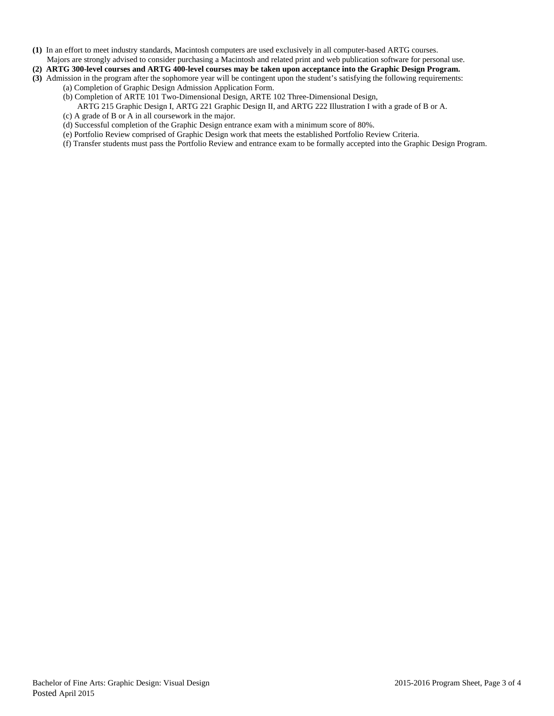- **(1)** In an effort to meet industry standards, Macintosh computers are used exclusively in all computer-based ARTG courses.
- Majors are strongly advised to consider purchasing a Macintosh and related print and web publication software for personal use.
- **(2) ARTG 300-level courses and ARTG 400-level courses may be taken upon acceptance into the Graphic Design Program. (3)** Admission in the program after the sophomore year will be contingent upon the student's satisfying the following requirements:
	- (a) Completion of Graphic Design Admission Application Form.
		- (b) Completion of ARTE 101 Two-Dimensional Design, ARTE 102 Three-Dimensional Design,
			- ARTG 215 Graphic Design I, ARTG 221 Graphic Design II, and ARTG 222 Illustration I with a grade of B or A.
		- (c) A grade of B or A in all coursework in the major.
		- (d) Successful completion of the Graphic Design entrance exam with a minimum score of 80%.
		- (e) Portfolio Review comprised of Graphic Design work that meets the established Portfolio Review Criteria.
		- (f) Transfer students must pass the Portfolio Review and entrance exam to be formally accepted into the Graphic Design Program.